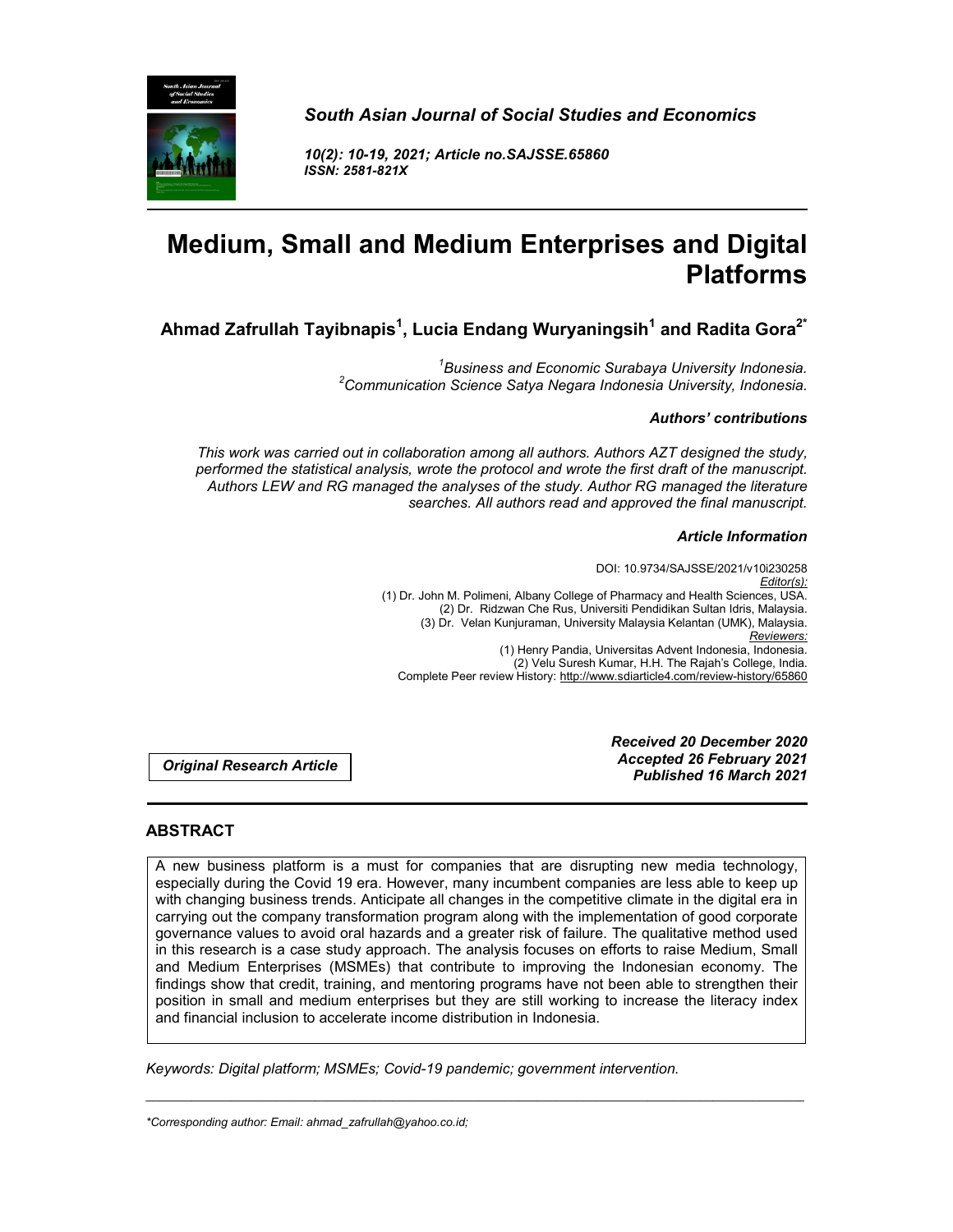

*South Asian Journal of Social Studies and Economics*

*10(2): 10-19, 2021; Article no.SAJSSE.65860 ISSN: 2581-821X*

# **Medium, Small and Medium Enterprises and Digital Platforms**

**Ahmad Zafrullah Tayibnapis1 , Lucia Endang Wuryaningsih<sup>1</sup> and Radita Gora2\***

<sup>1</sup>Business and Economic Surabaya University Indonesia. *Business and Economic Surabaya University Indonesia. <sup>2</sup> Communication Science Satya Negara Indonesia University, Indonesia.*

## *Authors' contributions*

*This work was carried out in collaboration among all authors. Authors AZT designed the study, performed the statistical analysis, wrote the protocol and wrote the first draft of the manuscript. Authors LEW and RG managed the analyses of the study. Author RG managed the literature searches. All authors read and approved the final manuscript.*

## *Article Information*

DOI: 10.9734/SAJSSE/2021/v10i230258 *Editor(s):* (1) Dr. John M. Polimeni, Albany College of Pharmacy and Health Sciences, USA. (2) Dr. Ridzwan Che Rus, Universiti Pendidikan Sultan Idris, Malaysia. (3) Dr. Velan Kunjuraman, University Malaysia Kelantan (UMK), Malaysia. *Reviewers:* (1) Henry Pandia, Universitas Advent Indonesia, Indonesia. (2) Velu Suresh Kumar, H.H. The Rajah's College, India. Complete Peer review History: http://www.sdiarticle4.com/review-history/65860

*Original Research Article*

*Received 20 December 2020 Accepted 26 February 2021 Published 16 March 2021*

# **ABSTRACT**

A new business platform is a must for companies that are disrupting new media technology, especially during the Covid 19 era. However, many incumbent companies are less able to keep up with changing business trends. Anticipate all changes in the competitive climate in the digital era in carrying out the company transformation program along with the implementation of good corporate governance values to avoid oral hazards and a greater risk of failure. The qualitative method used in this research is a case study approach. The analysis focuses on efforts to raise Medium, Small and Medium Enterprises (MSMEs) that contribute to improving the Indonesian economy. The findings show that credit, training, and mentoring programs have not been able to strengthen their position in small and medium enterprises but they are still working to increase the literacy index and financial inclusion to accelerate income distribution in Indonesia.

\_\_\_\_\_\_\_\_\_\_\_\_\_\_\_\_\_\_\_\_\_\_\_\_\_\_\_\_\_\_\_\_\_\_\_\_\_\_\_\_\_\_\_\_\_\_\_\_\_\_\_\_\_\_\_\_\_\_\_\_\_\_\_\_\_\_\_\_\_\_\_\_\_\_\_\_\_\_\_\_\_\_\_\_\_\_\_\_\_\_\_\_\_\_\_\_\_\_\_\_\_

*Keywords: Digital platform; MSMEs; Covid-19 pandemic; government intervention.*

*\*Corresponding author: Email: ahmad\_zafrullah@yahoo.co.id;*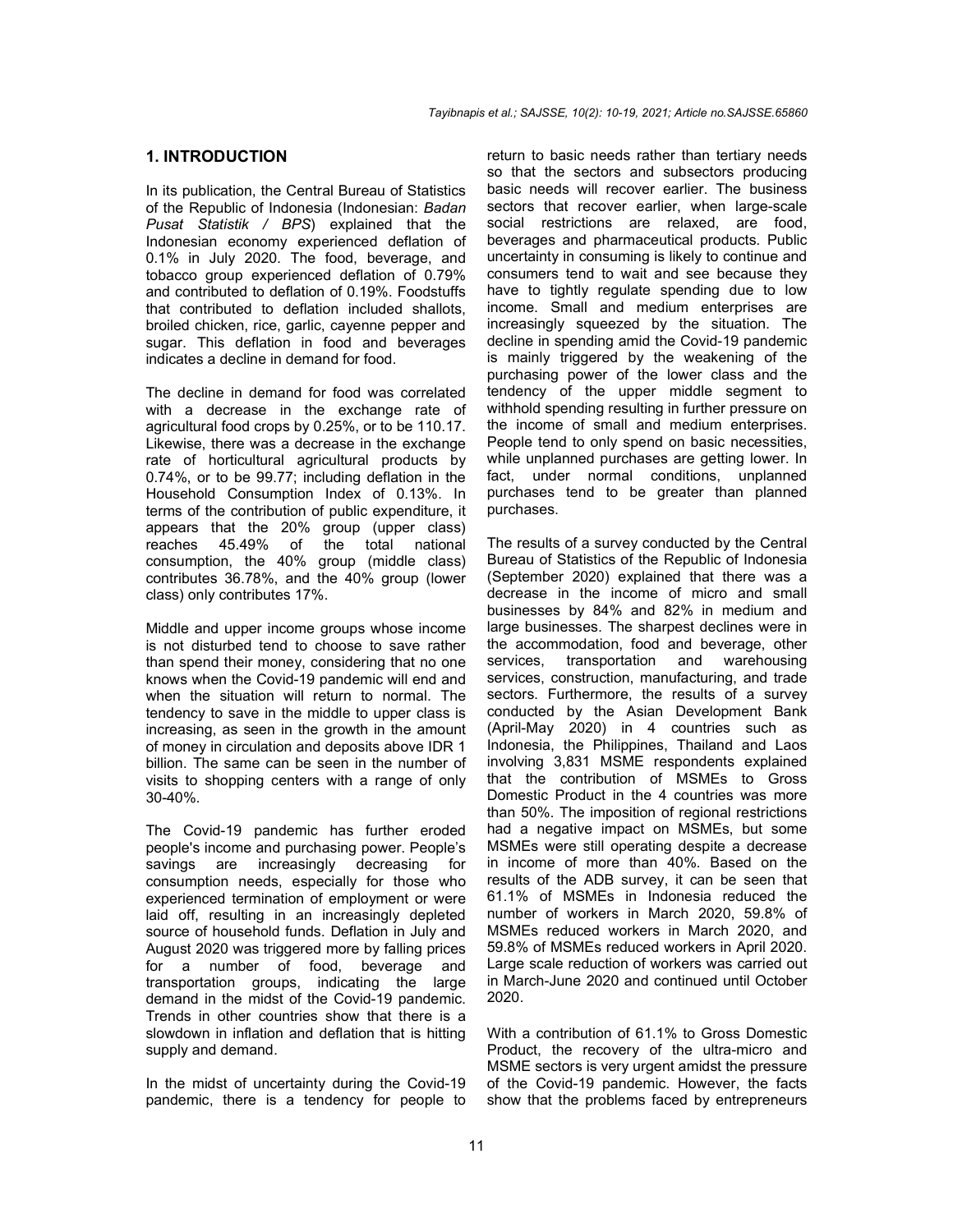## **1. INTRODUCTION**

In its publication, the Central Bureau of Statistics of the Republic of Indonesia (Indonesian: *Badan Pusat Statistik / BPS*) explained that the Indonesian economy experienced deflation of 0.1% in July 2020. The food, beverage, and tobacco group experienced deflation of 0.79% and contributed to deflation of 0.19%. Foodstuffs that contributed to deflation included shallots, broiled chicken, rice, garlic, cayenne pepper and sugar. This deflation in food and beverages indicates a decline in demand for food.

The decline in demand for food was correlated with a decrease in the exchange rate of agricultural food crops by 0.25%, or to be 110.17. Likewise, there was a decrease in the exchange rate of horticultural agricultural products by 0.74%, or to be 99.77; including deflation in the Household Consumption Index of 0.13%. In terms of the contribution of public expenditure, it appears that the 20% group (upper class) reaches 45.49% of the total national consumption, the 40% group (middle class) contributes 36.78%, and the 40% group (lower class) only contributes 17%.

Middle and upper income groups whose income is not disturbed tend to choose to save rather than spend their money, considering that no one knows when the Covid-19 pandemic will end and when the situation will return to normal. The tendency to save in the middle to upper class is increasing, as seen in the growth in the amount of money in circulation and deposits above IDR 1 billion. The same can be seen in the number of visits to shopping centers with a range of only 30-40%.

The Covid-19 pandemic has further eroded people's income and purchasing power. People's<br>savings are increasingly decreasing for savings are increasingly consumption needs, especially for those who experienced termination of employment or were laid off, resulting in an increasingly depleted source of household funds. Deflation in July and August 2020 was triggered more by falling prices for a number of food, beverage and transportation groups, indicating the large demand in the midst of the Covid-19 pandemic. Trends in other countries show that there is a slowdown in inflation and deflation that is hitting supply and demand.

In the midst of uncertainty during the Covid-19 pandemic, there is a tendency for people to return to basic needs rather than tertiary needs so that the sectors and subsectors producing basic needs will recover earlier. The business sectors that recover earlier, when large-scale social restrictions are relaxed, are food, beverages and pharmaceutical products. Public uncertainty in consuming is likely to continue and consumers tend to wait and see because they have to tightly regulate spending due to low income. Small and medium enterprises are increasingly squeezed by the situation. The decline in spending amid the Covid-19 pandemic is mainly triggered by the weakening of the purchasing power of the lower class and the tendency of the upper middle segment to withhold spending resulting in further pressure on the income of small and medium enterprises. People tend to only spend on basic necessities, while unplanned purchases are getting lower. In fact, under normal conditions, unplanned purchases tend to be greater than planned purchases.

The results of a survey conducted by the Central Bureau of Statistics of the Republic of Indonesia (September 2020) explained that there was a decrease in the income of micro and small businesses by 84% and 82% in medium and large businesses. The sharpest declines were in the accommodation, food and beverage, other services, transportation and warehousing services, construction, manufacturing, and trade sectors. Furthermore, the results of a survey conducted by the Asian Development Bank (April-May 2020) in 4 countries such as Indonesia, the Philippines, Thailand and Laos involving 3,831 MSME respondents explained that the contribution of MSMEs to Gross Domestic Product in the 4 countries was more than 50%. The imposition of regional restrictions had a negative impact on MSMEs, but some MSMEs were still operating despite a decrease in income of more than 40%. Based on the results of the ADB survey, it can be seen that 61.1% of MSMEs in Indonesia reduced the number of workers in March 2020, 59.8% of MSMEs reduced workers in March 2020, and 59.8% of MSMEs reduced workers in April 2020. Large scale reduction of workers was carried out in March-June 2020 and continued until October 2020.

With a contribution of 61.1% to Gross Domestic Product, the recovery of the ultra-micro and MSME sectors is very urgent amidst the pressure of the Covid-19 pandemic. However, the facts show that the problems faced by entrepreneurs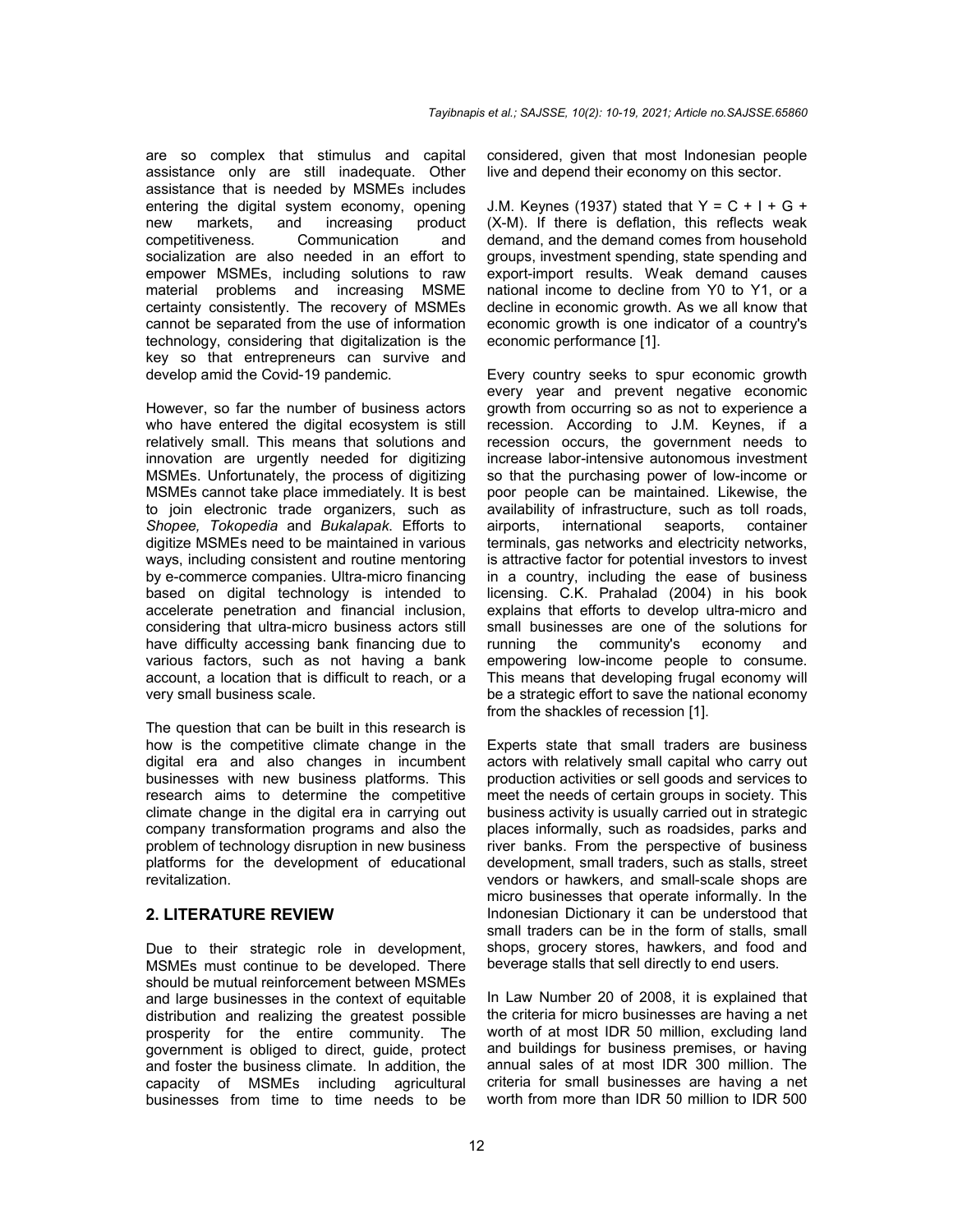are so complex that stimulus and capital assistance only are still inadequate. Other assistance that is needed by MSMEs includes entering the digital system economy, opening new markets, and increasing product<br>competitiveness. Communication and competitiveness. Communication and socialization are also needed in an effort to empower MSMEs, including solutions to raw material problems and increasing MSME certainty consistently. The recovery of MSMEs cannot be separated from the use of information technology, considering that digitalization is the key so that entrepreneurs can survive and develop amid the Covid-19 pandemic.

However, so far the number of business actors who have entered the digital ecosystem is still relatively small. This means that solutions and innovation are urgently needed for digitizing MSMEs. Unfortunately, the process of digitizing MSMEs cannot take place immediately. It is best to join electronic trade organizers, such as *Shopee, Tokopedia* and *Bukalapak*. Efforts to digitize MSMEs need to be maintained in various ways, including consistent and routine mentoring by e-commerce companies. Ultra-micro financing based on digital technology is intended to accelerate penetration and financial inclusion, considering that ultra-micro business actors still have difficulty accessing bank financing due to various factors, such as not having a bank account, a location that is difficult to reach, or a very small business scale.

The question that can be built in this research is how is the competitive climate change in the digital era and also changes in incumbent businesses with new business platforms. This research aims to determine the competitive climate change in the digital era in carrying out company transformation programs and also the problem of technology disruption in new business platforms for the development of educational revitalization.

## **2. LITERATURE REVIEW**

Due to their strategic role in development, MSMEs must continue to be developed. There should be mutual reinforcement between MSMEs and large businesses in the context of equitable distribution and realizing the greatest possible prosperity for the entire community. The government is obliged to direct, guide, protect and foster the business climate. In addition, the capacity of MSMEs including agricultural businesses from time to time needs to be

considered, given that most Indonesian people live and depend their economy on this sector.

J.M. Keynes (1937) stated that  $Y = C + I + G +$ (X-M). If there is deflation, this reflects weak demand, and the demand comes from household groups, investment spending, state spending and export-import results. Weak demand causes national income to decline from Y0 to Y1, or a decline in economic growth. As we all know that economic growth is one indicator of a country's economic performance [1].

Every country seeks to spur economic growth every year and prevent negative economic growth from occurring so as not to experience a recession. According to J.M. Keynes, if a recession occurs, the government needs to increase labor-intensive autonomous investment so that the purchasing power of low-income or poor people can be maintained. Likewise, the availability of infrastructure, such as toll roads, airports, international seaports, container terminals, gas networks and electricity networks, is attractive factor for potential investors to invest in a country, including the ease of business licensing. C.K. Prahalad (2004) in his book explains that efforts to develop ultra-micro and small businesses are one of the solutions for running the community's economy and empowering low-income people to consume. This means that developing frugal economy will be a strategic effort to save the national economy from the shackles of recession [1].

Experts state that small traders are business actors with relatively small capital who carry out production activities or sell goods and services to meet the needs of certain groups in society. This business activity is usually carried out in strategic places informally, such as roadsides, parks and river banks. From the perspective of business development, small traders, such as stalls, street vendors or hawkers, and small-scale shops are micro businesses that operate informally. In the Indonesian Dictionary it can be understood that small traders can be in the form of stalls, small shops, grocery stores, hawkers, and food and beverage stalls that sell directly to end users.

In Law Number 20 of 2008, it is explained that the criteria for micro businesses are having a net worth of at most IDR 50 million, excluding land and buildings for business premises, or having annual sales of at most IDR 300 million. The criteria for small businesses are having a net worth from more than IDR 50 million to IDR 500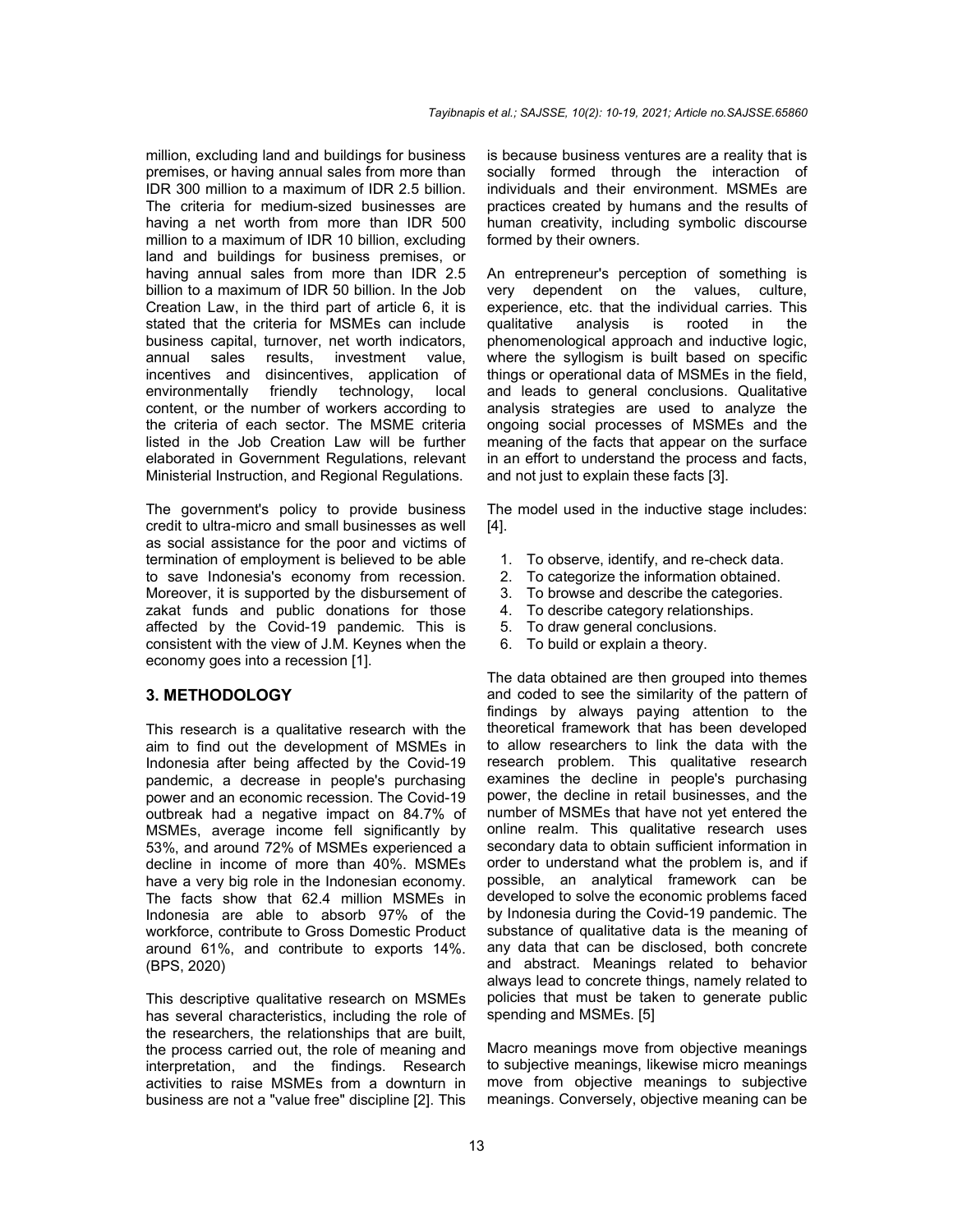million, excluding land and buildings for business premises, or having annual sales from more than IDR 300 million to a maximum of IDR 2.5 billion. The criteria for medium-sized businesses are having a net worth from more than IDR 500 million to a maximum of IDR 10 billion, excluding land and buildings for business premises, or having annual sales from more than IDR 2.5 billion to a maximum of IDR 50 billion. In the Job Creation Law, in the third part of article 6, it is stated that the criteria for MSMEs can include business capital, turnover, net worth indicators,<br>annual sales results. investment value. annual sales results, investment value, incentives and disincentives, application of environmentally friendly technology, local content, or the number of workers according to the criteria of each sector. The MSME criteria listed in the Job Creation Law will be further elaborated in Government Regulations, relevant Ministerial Instruction, and Regional Regulations.

The government's policy to provide business credit to ultra-micro and small businesses as well as social assistance for the poor and victims of termination of employment is believed to be able to save Indonesia's economy from recession. Moreover, it is supported by the disbursement of zakat funds and public donations for those affected by the Covid-19 pandemic. This is consistent with the view of J.M. Keynes when the economy goes into a recession [1].

#### **3. METHODOLOGY**

This research is a qualitative research with the aim to find out the development of MSMEs in Indonesia after being affected by the Covid-19 pandemic, a decrease in people's purchasing power and an economic recession. The Covid-19 outbreak had a negative impact on 84.7% of MSMEs, average income fell significantly by 53%, and around 72% of MSMEs experienced a decline in income of more than 40%. MSMEs have a very big role in the Indonesian economy. The facts show that 62.4 million MSMEs in Indonesia are able to absorb 97% of the workforce, contribute to Gross Domestic Product around 61%, and contribute to exports 14%. (BPS, 2020)

This descriptive qualitative research on MSMEs has several characteristics, including the role of the researchers, the relationships that are built, the process carried out, the role of meaning and interpretation, and the findings. Research activities to raise MSMEs from a downturn in business are not a "value free" discipline [2]. This

is because business ventures are a reality that is socially formed through the interaction of individuals and their environment. MSMEs are practices created by humans and the results of human creativity, including symbolic discourse formed by their owners.

An entrepreneur's perception of something is very dependent on the values, culture, experience, etc. that the individual carries. This qualitative analysis is rooted in the phenomenological approach and inductive logic, where the syllogism is built based on specific things or operational data of MSMEs in the field, and leads to general conclusions. Qualitative analysis strategies are used to analyze the ongoing social processes of MSMEs and the meaning of the facts that appear on the surface in an effort to understand the process and facts, and not just to explain these facts [3].

The model used in the inductive stage includes: [4].

- 1. To observe, identify, and re-check data.
- 2. To categorize the information obtained.
- 3. To browse and describe the categories.
- 4. To describe category relationships.
- 5. To draw general conclusions.
- 6. To build or explain a theory.

The data obtained are then grouped into themes and coded to see the similarity of the pattern of findings by always paying attention to the theoretical framework that has been developed to allow researchers to link the data with the research problem. This qualitative research examines the decline in people's purchasing power, the decline in retail businesses, and the number of MSMEs that have not yet entered the online realm. This qualitative research uses secondary data to obtain sufficient information in order to understand what the problem is, and if possible, an analytical framework can be developed to solve the economic problems faced by Indonesia during the Covid-19 pandemic. The substance of qualitative data is the meaning of any data that can be disclosed, both concrete and abstract. Meanings related to behavior always lead to concrete things, namely related to policies that must be taken to generate public spending and MSMEs. [5]

Macro meanings move from objective meanings to subjective meanings, likewise micro meanings move from objective meanings to subjective meanings. Conversely, objective meaning can be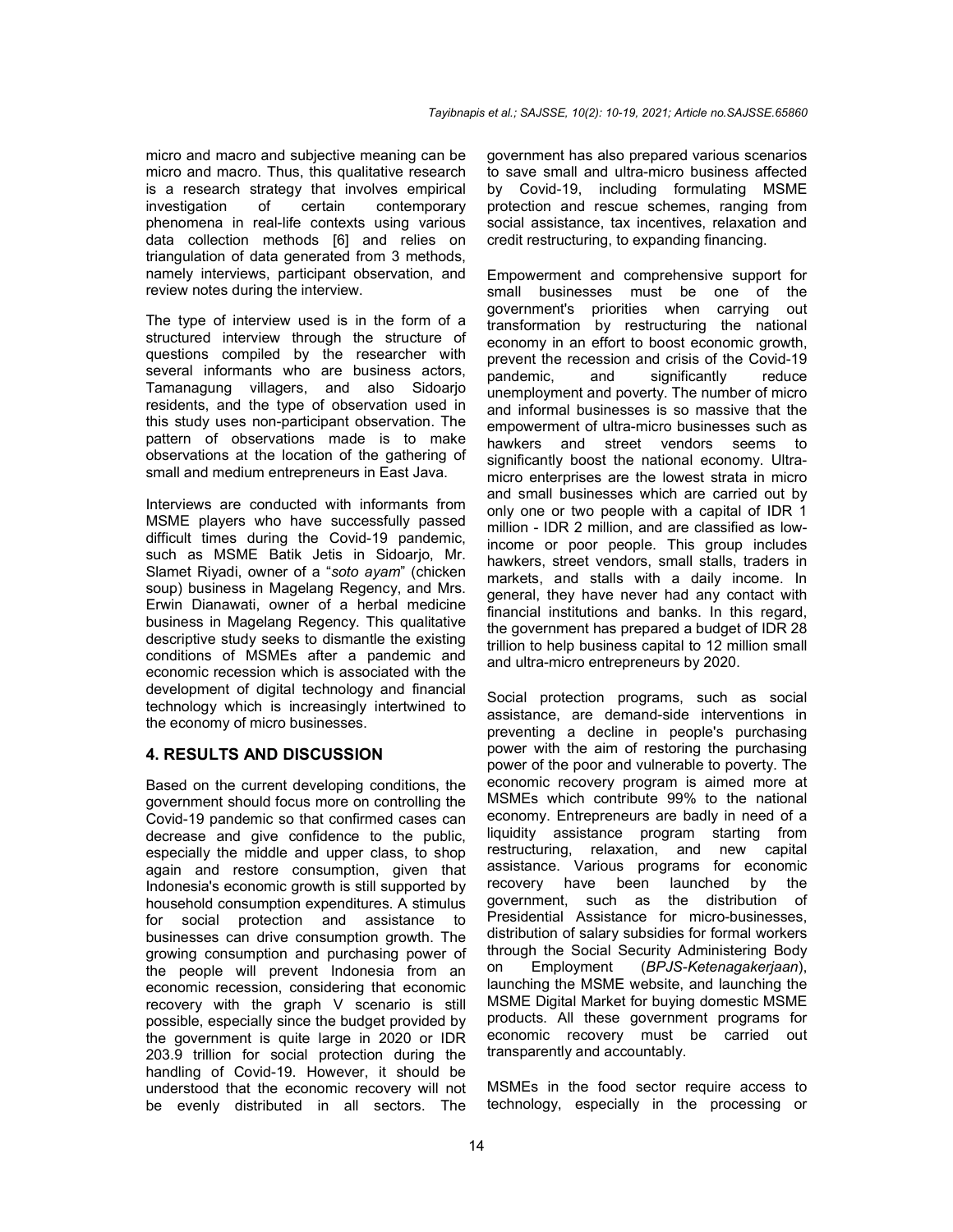micro and macro and subjective meaning can be micro and macro. Thus, this qualitative research is a research strategy that involves empirical investigation of certain contemporary phenomena in real-life contexts using various data collection methods [6] and relies on triangulation of data generated from 3 methods, namely interviews, participant observation, and review notes during the interview.

The type of interview used is in the form of a structured interview through the structure of questions compiled by the researcher with several informants who are business actors, Tamanagung villagers, and also Sidoarjo residents, and the type of observation used in this study uses non-participant observation. The pattern of observations made is to make observations at the location of the gathering of small and medium entrepreneurs in East Java.

Interviews are conducted with informants from MSME players who have successfully passed difficult times during the Covid-19 pandemic, such as MSME Batik Jetis in Sidoario, Mr. Slamet Riyadi, owner of a "*soto ayam*" (chicken soup) business in Magelang Regency, and Mrs. Erwin Dianawati, owner of a herbal medicine business in Magelang Regency. This qualitative descriptive study seeks to dismantle the existing conditions of MSMEs after a pandemic and economic recession which is associated with the development of digital technology and financial technology which is increasingly intertwined to the economy of micro businesses.

## **4. RESULTS AND DISCUSSION**

Based on the current developing conditions, the government should focus more on controlling the Covid-19 pandemic so that confirmed cases can decrease and give confidence to the public, especially the middle and upper class, to shop again and restore consumption, given that Indonesia's economic growth is still supported by household consumption expenditures. A stimulus for social protection and assistance to businesses can drive consumption growth. The growing consumption and purchasing power of the people will prevent Indonesia from an economic recession, considering that economic recovery with the graph V scenario is still possible, especially since the budget provided by the government is quite large in 2020 or IDR 203.9 trillion for social protection during the handling of Covid-19. However, it should be understood that the economic recovery will not be evenly distributed in all sectors. The

government has also prepared various scenarios to save small and ultra-micro business affected by Covid-19, including formulating MSME protection and rescue schemes, ranging from social assistance, tax incentives, relaxation and credit restructuring, to expanding financing.

Empowerment and comprehensive support for small businesses must be one of the government's priorities when carrying out transformation by restructuring the national economy in an effort to boost economic growth, prevent the recession and crisis of the Covid-19 pandemic, and significantly reduce unemployment and poverty. The number of micro and informal businesses is so massive that the empowerment of ultra-micro businesses such as hawkers and street vendors seems to significantly boost the national economy. Ultramicro enterprises are the lowest strata in micro and small businesses which are carried out by only one or two people with a capital of IDR 1 million - IDR 2 million, and are classified as lowincome or poor people. This group includes hawkers, street vendors, small stalls, traders in markets, and stalls with a daily income. In general, they have never had any contact with financial institutions and banks. In this regard, the government has prepared a budget of IDR 28 trillion to help business capital to 12 million small and ultra-micro entrepreneurs by 2020.

Social protection programs, such as social assistance, are demand-side interventions in preventing a decline in people's purchasing power with the aim of restoring the purchasing power of the poor and vulnerable to poverty. The economic recovery program is aimed more at MSMEs which contribute 99% to the national economy. Entrepreneurs are badly in need of a liquidity assistance program starting from restructuring, relaxation, and new capital assistance. Various programs for economic recovery have been launched by the government, such as the distribution of Presidential Assistance for micro-businesses, distribution of salary subsidies for formal workers through the Social Security Administering Body on Employment (*BPJS-Ketenagakerjaan*), launching the MSME website, and launching the MSME Digital Market for buying domestic MSME products. All these government programs for economic recovery must be carried out transparently and accountably.

MSMEs in the food sector require access to technology, especially in the processing or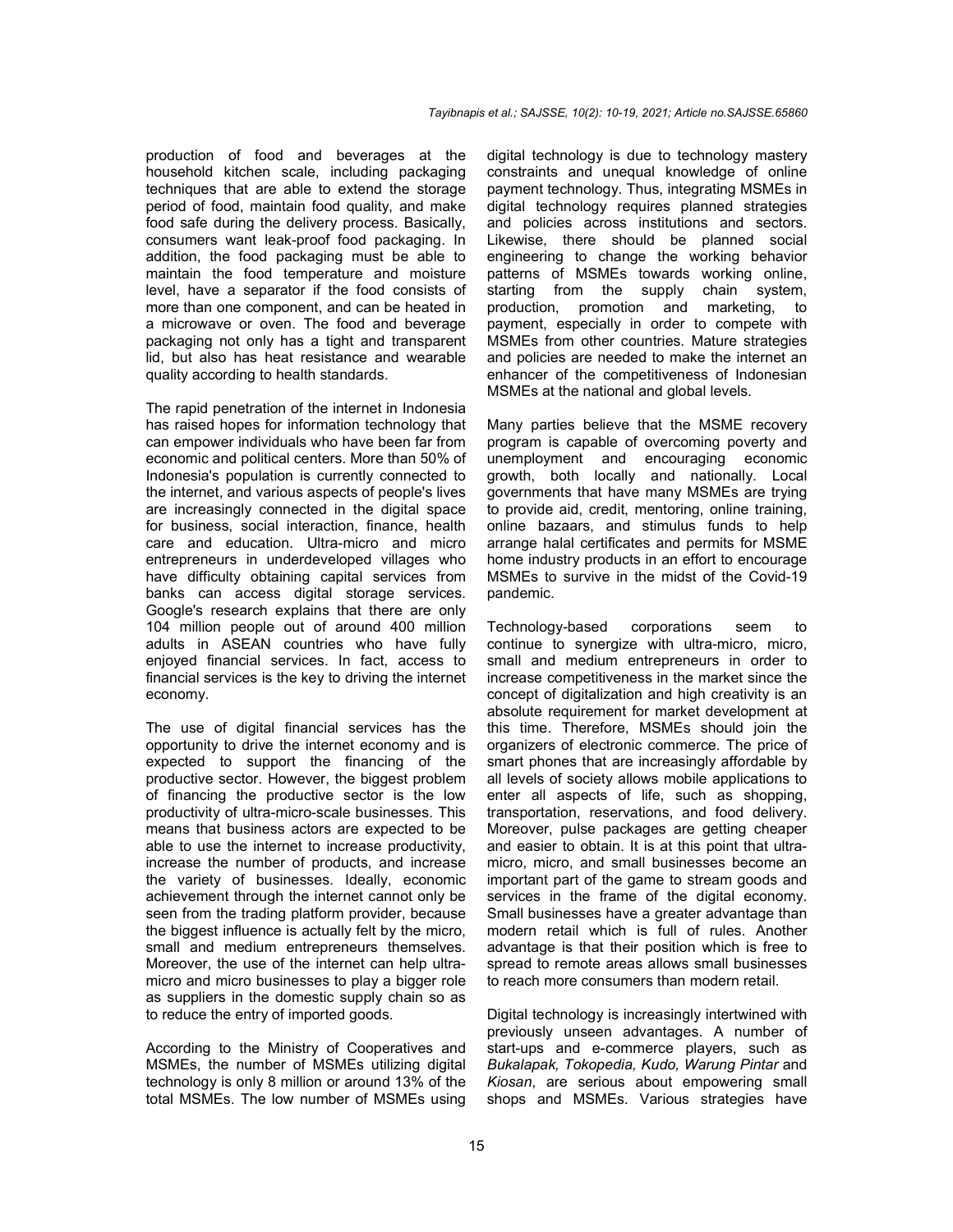production of food and beverages at the household kitchen scale, including packaging techniques that are able to extend the storage period of food, maintain food quality, and make food safe during the delivery process. Basically, consumers want leak-proof food packaging. In addition, the food packaging must be able to maintain the food temperature and moisture level, have a separator if the food consists of more than one component, and can be heated in a microwave or oven. The food and beverage packaging not only has a tight and transparent lid, but also has heat resistance and wearable quality according to health standards.

The rapid penetration of the internet in Indonesia has raised hopes for information technology that can empower individuals who have been far from economic and political centers. More than 50% of Indonesia's population is currently connected to the internet, and various aspects of people's lives are increasingly connected in the digital space for business, social interaction, finance, health care and education. Ultra-micro and micro entrepreneurs in underdeveloped villages who have difficulty obtaining capital services from banks can access digital storage services. Google's research explains that there are only 104 million people out of around 400 million adults in ASEAN countries who have fully enjoyed financial services. In fact, access to financial services is the key to driving the internet economy.

The use of digital financial services has the opportunity to drive the internet economy and is expected to support the financing of the productive sector. However, the biggest problem of financing the productive sector is the low productivity of ultra-micro-scale businesses. This means that business actors are expected to be able to use the internet to increase productivity, increase the number of products, and increase the variety of businesses. Ideally, economic achievement through the internet cannot only be seen from the trading platform provider, because the biggest influence is actually felt by the micro, small and medium entrepreneurs themselves. Moreover, the use of the internet can help ultramicro and micro businesses to play a bigger role as suppliers in the domestic supply chain so as to reduce the entry of imported goods.

According to the Ministry of Cooperatives and MSMEs, the number of MSMEs utilizing digital technology is only 8 million or around 13% of the total MSMEs. The low number of MSMEs using

digital technology is due to technology mastery constraints and unequal knowledge of online payment technology. Thus, integrating MSMEs in digital technology requires planned strategies and policies across institutions and sectors. Likewise, there should be planned social engineering to change the working behavior patterns of MSMEs towards working online, starting from the supply chain system, production, promotion and marketing, to payment, especially in order to compete with MSMEs from other countries. Mature strategies and policies are needed to make the internet an enhancer of the competitiveness of Indonesian MSMEs at the national and global levels.

Many parties believe that the MSME recovery program is capable of overcoming poverty and unemployment and encouraging economic growth, both locally and nationally. Local governments that have many MSMEs are trying to provide aid, credit, mentoring, online training, online bazaars, and stimulus funds to help arrange halal certificates and permits for MSME home industry products in an effort to encourage MSMEs to survive in the midst of the Covid-19 pandemic.

Technology-based corporations seem to continue to synergize with ultra-micro, micro, small and medium entrepreneurs in order to increase competitiveness in the market since the concept of digitalization and high creativity is an absolute requirement for market development at this time. Therefore, MSMEs should join the organizers of electronic commerce. The price of smart phones that are increasingly affordable by all levels of society allows mobile applications to enter all aspects of life, such as shopping, transportation, reservations, and food delivery. Moreover, pulse packages are getting cheaper and easier to obtain. It is at this point that ultramicro, micro, and small businesses become an important part of the game to stream goods and services in the frame of the digital economy. Small businesses have a greater advantage than modern retail which is full of rules. Another advantage is that their position which is free to spread to remote areas allows small businesses to reach more consumers than modern retail.

Digital technology is increasingly intertwined with previously unseen advantages. A number of start-ups and e-commerce players, such as *Bukalapak, Tokopedia, Kudo, Warung Pintar* and *Kiosan*, are serious about empowering small shops and MSMEs. Various strategies have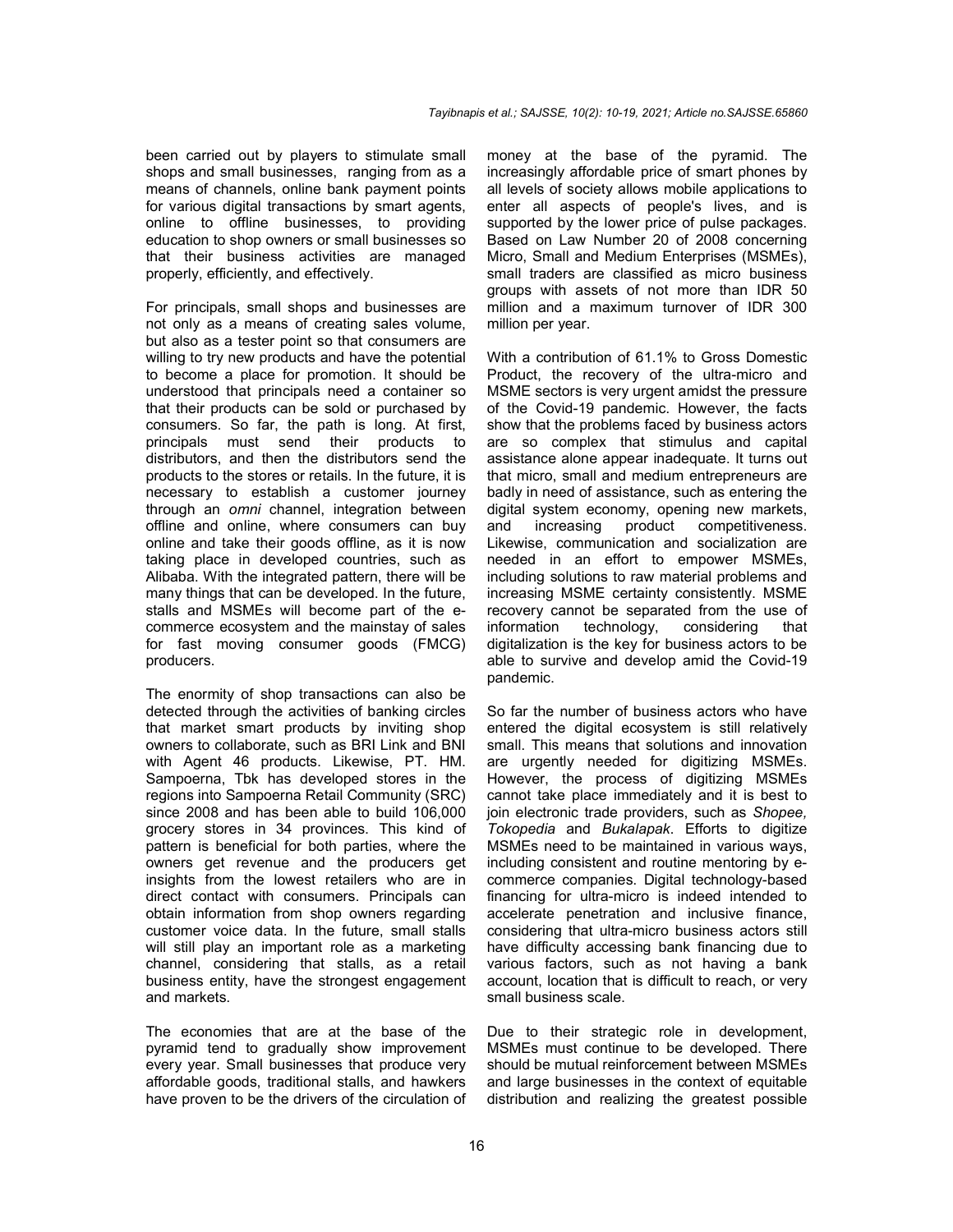been carried out by players to stimulate small shops and small businesses, ranging from as a means of channels, online bank payment points for various digital transactions by smart agents, online to offline businesses, to providing education to shop owners or small businesses so that their business activities are managed properly, efficiently, and effectively.

For principals, small shops and businesses are not only as a means of creating sales volume, but also as a tester point so that consumers are willing to try new products and have the potential to become a place for promotion. It should be understood that principals need a container so that their products can be sold or purchased by consumers. So far, the path is long. At first, principals must send their products to distributors, and then the distributors send the products to the stores or retails. In the future, it is necessary to establish a customer journey through an *omni* channel, integration between offline and online, where consumers can buy online and take their goods offline, as it is now taking place in developed countries, such as Alibaba. With the integrated pattern, there will be many things that can be developed. In the future, stalls and MSMEs will become part of the ecommerce ecosystem and the mainstay of sales for fast moving consumer goods (FMCG) producers.

The enormity of shop transactions can also be detected through the activities of banking circles that market smart products by inviting shop owners to collaborate, such as BRI Link and BNI with Agent 46 products. Likewise, PT. HM. Sampoerna, Tbk has developed stores in the regions into Sampoerna Retail Community (SRC) since 2008 and has been able to build 106,000 grocery stores in 34 provinces. This kind of pattern is beneficial for both parties, where the owners get revenue and the producers get insights from the lowest retailers who are in direct contact with consumers. Principals can obtain information from shop owners regarding customer voice data. In the future, small stalls will still play an important role as a marketing channel, considering that stalls, as a retail business entity, have the strongest engagement and markets.

The economies that are at the base of the pyramid tend to gradually show improvement every year. Small businesses that produce very affordable goods, traditional stalls, and hawkers have proven to be the drivers of the circulation of money at the base of the pyramid. The increasingly affordable price of smart phones by all levels of society allows mobile applications to enter all aspects of people's lives, and is supported by the lower price of pulse packages. Based on Law Number 20 of 2008 concerning Micro, Small and Medium Enterprises (MSMEs), small traders are classified as micro business groups with assets of not more than IDR 50 million and a maximum turnover of IDR 300 million per year.

With a contribution of 61.1% to Gross Domestic Product, the recovery of the ultra-micro and MSME sectors is very urgent amidst the pressure of the Covid-19 pandemic. However, the facts show that the problems faced by business actors are so complex that stimulus and capital assistance alone appear inadequate. It turns out that micro, small and medium entrepreneurs are badly in need of assistance, such as entering the digital system economy, opening new markets, and increasing product competitiveness. Likewise, communication and socialization are needed in an effort to empower MSMEs, including solutions to raw material problems and increasing MSME certainty consistently. MSME recovery cannot be separated from the use of information technology, considering that digitalization is the key for business actors to be able to survive and develop amid the Covid-19 pandemic.

So far the number of business actors who have entered the digital ecosystem is still relatively small. This means that solutions and innovation are urgently needed for digitizing MSMEs. However, the process of digitizing MSMEs cannot take place immediately and it is best to join electronic trade providers, such as *Shopee, Tokopedia* and *Bukalapak*. Efforts to digitize MSMEs need to be maintained in various ways, including consistent and routine mentoring by ecommerce companies. Digital technology-based financing for ultra-micro is indeed intended to accelerate penetration and inclusive finance, considering that ultra-micro business actors still have difficulty accessing bank financing due to various factors, such as not having a bank account, location that is difficult to reach, or very small business scale.

Due to their strategic role in development, MSMEs must continue to be developed. There should be mutual reinforcement between MSMEs and large businesses in the context of equitable distribution and realizing the greatest possible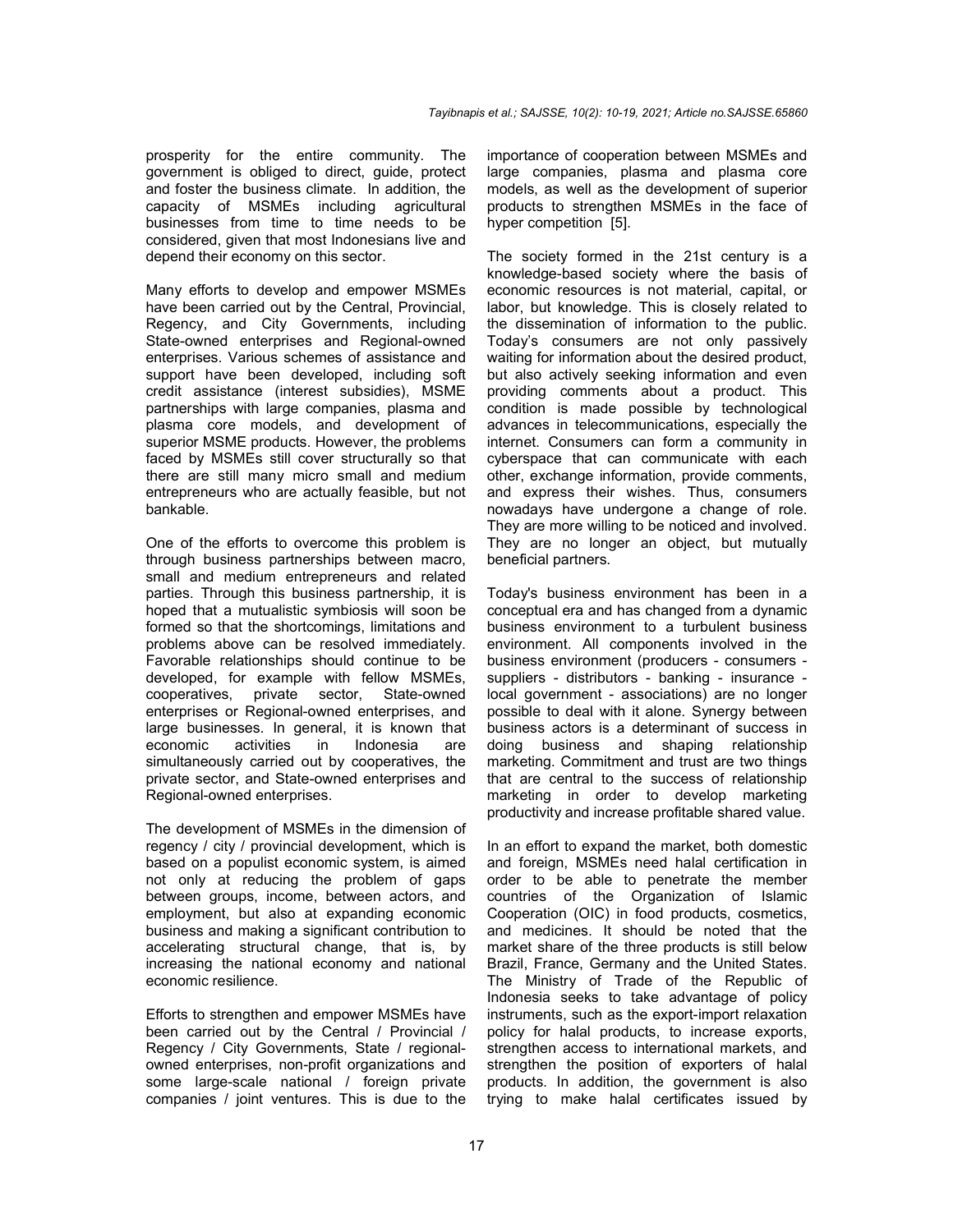prosperity for the entire community. The government is obliged to direct, guide, protect and foster the business climate. In addition, the capacity of MSMEs including agricultural businesses from time to time needs to be considered, given that most Indonesians live and depend their economy on this sector.

Many efforts to develop and empower MSMEs have been carried out by the Central, Provincial, Regency, and City Governments, including State-owned enterprises and Regional-owned enterprises. Various schemes of assistance and support have been developed, including soft credit assistance (interest subsidies), MSME partnerships with large companies, plasma and plasma core models, and development of superior MSME products. However, the problems faced by MSMEs still cover structurally so that there are still many micro small and medium entrepreneurs who are actually feasible, but not bankable.

One of the efforts to overcome this problem is through business partnerships between macro, small and medium entrepreneurs and related parties. Through this business partnership, it is hoped that a mutualistic symbiosis will soon be formed so that the shortcomings, limitations and problems above can be resolved immediately. Favorable relationships should continue to be developed, for example with fellow MSMEs, cooperatives, private sector, State-owned enterprises or Regional-owned enterprises, and large businesses. In general, it is known that economic activities in Indonesia are economic activities in Indonesia are simultaneously carried out by cooperatives, the private sector, and State-owned enterprises and Regional-owned enterprises.

The development of MSMEs in the dimension of regency / city / provincial development, which is based on a populist economic system, is aimed not only at reducing the problem of gaps between groups, income, between actors, and employment, but also at expanding economic business and making a significant contribution to accelerating structural change, that is, by increasing the national economy and national economic resilience.

Efforts to strengthen and empower MSMEs have been carried out by the Central / Provincial / Regency / City Governments, State / regionalowned enterprises, non-profit organizations and some large-scale national / foreign private companies / joint ventures. This is due to the

importance of cooperation between MSMEs and large companies, plasma and plasma core models, as well as the development of superior products to strengthen MSMEs in the face of hyper competition [5].

The society formed in the 21st century is a knowledge-based society where the basis of economic resources is not material, capital, or labor, but knowledge. This is closely related to the dissemination of information to the public. Today's consumers are not only passively waiting for information about the desired product, but also actively seeking information and even providing comments about a product. This condition is made possible by technological advances in telecommunications, especially the internet. Consumers can form a community in cyberspace that can communicate with each other, exchange information, provide comments, and express their wishes. Thus, consumers nowadays have undergone a change of role. They are more willing to be noticed and involved. They are no longer an object, but mutually beneficial partners.

Today's business environment has been in a conceptual era and has changed from a dynamic business environment to a turbulent business environment. All components involved in the business environment (producers - consumers suppliers - distributors - banking - insurance local government - associations) are no longer possible to deal with it alone. Synergy between business actors is a determinant of success in doing business and shaping relationship marketing. Commitment and trust are two things that are central to the success of relationship marketing in order to develop marketing productivity and increase profitable shared value.

In an effort to expand the market, both domestic and foreign, MSMEs need halal certification in order to be able to penetrate the member countries of the Organization of Islamic Cooperation (OIC) in food products, cosmetics, and medicines. It should be noted that the market share of the three products is still below Brazil, France, Germany and the United States. The Ministry of Trade of the Republic of Indonesia seeks to take advantage of policy instruments, such as the export-import relaxation policy for halal products, to increase exports, strengthen access to international markets, and strengthen the position of exporters of halal products. In addition, the government is also trying to make halal certificates issued by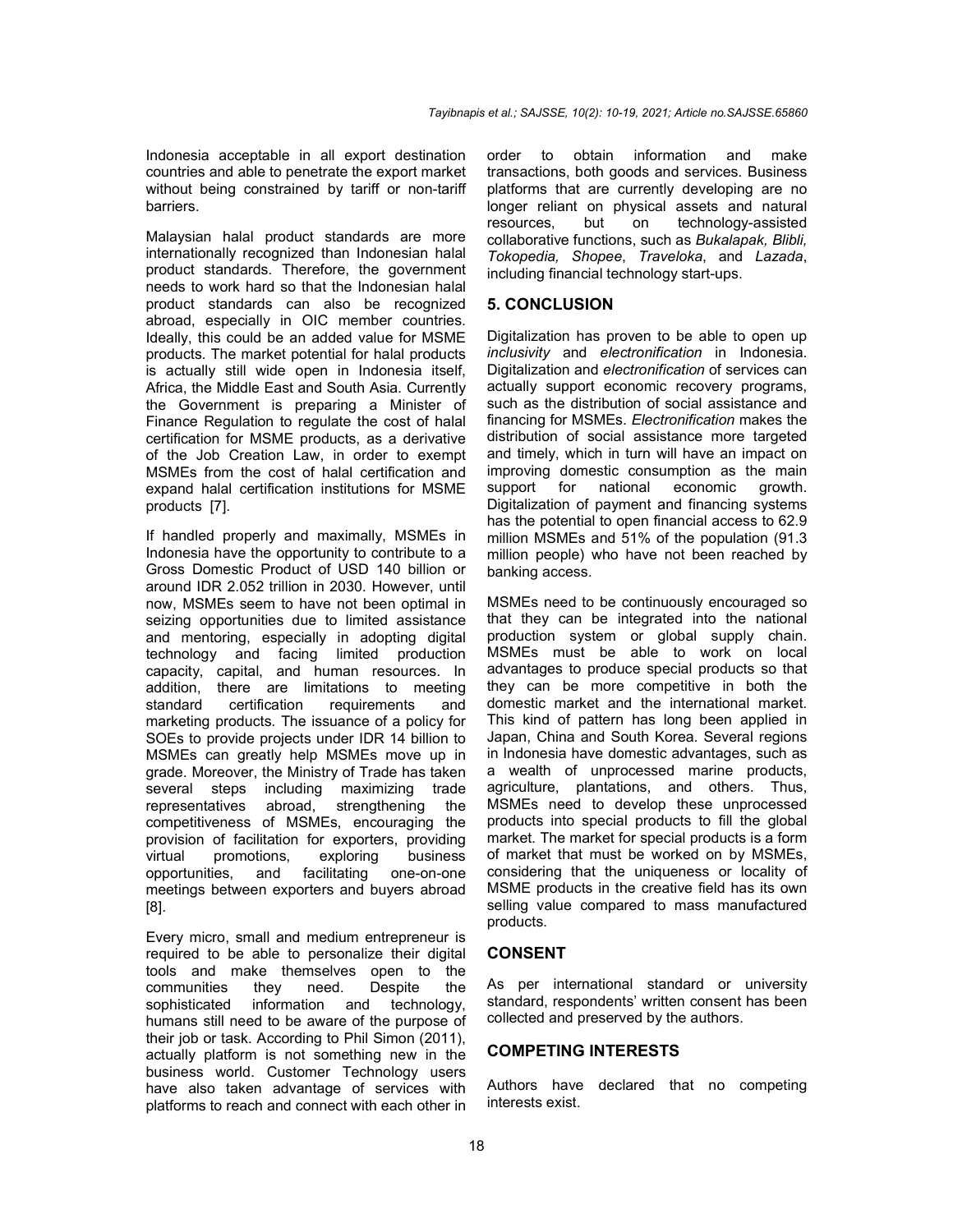Indonesia acceptable in all export destination countries and able to penetrate the export market without being constrained by tariff or non-tariff barriers.

Malaysian halal product standards are more internationally recognized than Indonesian halal product standards. Therefore, the government needs to work hard so that the Indonesian halal product standards can also be recognized abroad, especially in OIC member countries. Ideally, this could be an added value for MSME products. The market potential for halal products is actually still wide open in Indonesia itself, Africa, the Middle East and South Asia. Currently the Government is preparing a Minister of Finance Regulation to regulate the cost of halal certification for MSME products, as a derivative of the Job Creation Law, in order to exempt MSMEs from the cost of halal certification and expand halal certification institutions for MSME products [7].

If handled properly and maximally, MSMEs in Indonesia have the opportunity to contribute to a Gross Domestic Product of USD 140 billion or around IDR 2.052 trillion in 2030. However, until now, MSMEs seem to have not been optimal in seizing opportunities due to limited assistance and mentoring, especially in adopting digital technology and facing limited production capacity, capital, and human resources. In addition, there are limitations to meeting standard certification requirements and marketing products. The issuance of a policy for SOEs to provide projects under IDR 14 billion to MSMEs can greatly help MSMEs move up in grade. Moreover, the Ministry of Trade has taken several steps including maximizing trade representatives abroad, strengthening the competitiveness of MSMEs, encouraging the provision of facilitation for exporters, providing<br>virtual promotions, exploring business virtual promotions, exploring<br>opportunities, and facilitating opportunities, and facilitating one-on-one meetings between exporters and buyers abroad [8].

Every micro, small and medium entrepreneur is required to be able to personalize their digital tools and make themselves open to the communities they need. Despite the sophisticated information and technology, humans still need to be aware of the purpose of their job or task. According to Phil Simon (2011), actually platform is not something new in the business world. Customer Technology users have also taken advantage of services with platforms to reach and connect with each other in order to obtain information and make transactions, both goods and services. Business platforms that are currently developing are no longer reliant on physical assets and natural resources, but on technology-assisted collaborative functions, such as *Bukalapak, Blibli, Tokopedia, Shopee*, *Traveloka*, and *Lazada*, including financial technology start-ups.

## **5. CONCLUSION**

Digitalization has proven to be able to open up *inclusivity* and *electronification* in Indonesia. Digitalization and *electronification* of services can actually support economic recovery programs, such as the distribution of social assistance and financing for MSMEs. *Electronification* makes the distribution of social assistance more targeted and timely, which in turn will have an impact on improving domestic consumption as the main<br>support for national economic growth. support for national economic Digitalization of payment and financing systems has the potential to open financial access to 62.9 million MSMEs and 51% of the population (91.3 million people) who have not been reached by banking access.

MSMEs need to be continuously encouraged so that they can be integrated into the national production system or global supply chain. MSMEs must be able to work on local advantages to produce special products so that they can be more competitive in both the domestic market and the international market. This kind of pattern has long been applied in Japan, China and South Korea. Several regions in Indonesia have domestic advantages, such as a wealth of unprocessed marine products, agriculture, plantations, and others. Thus, MSMEs need to develop these unprocessed products into special products to fill the global market. The market for special products is a form of market that must be worked on by MSMEs, considering that the uniqueness or locality of MSME products in the creative field has its own selling value compared to mass manufactured products.

## **CONSENT**

As per international standard or university standard, respondents' written consent has been collected and preserved by the authors.

#### **COMPETING INTERESTS**

Authors have declared that no competing interests exist.